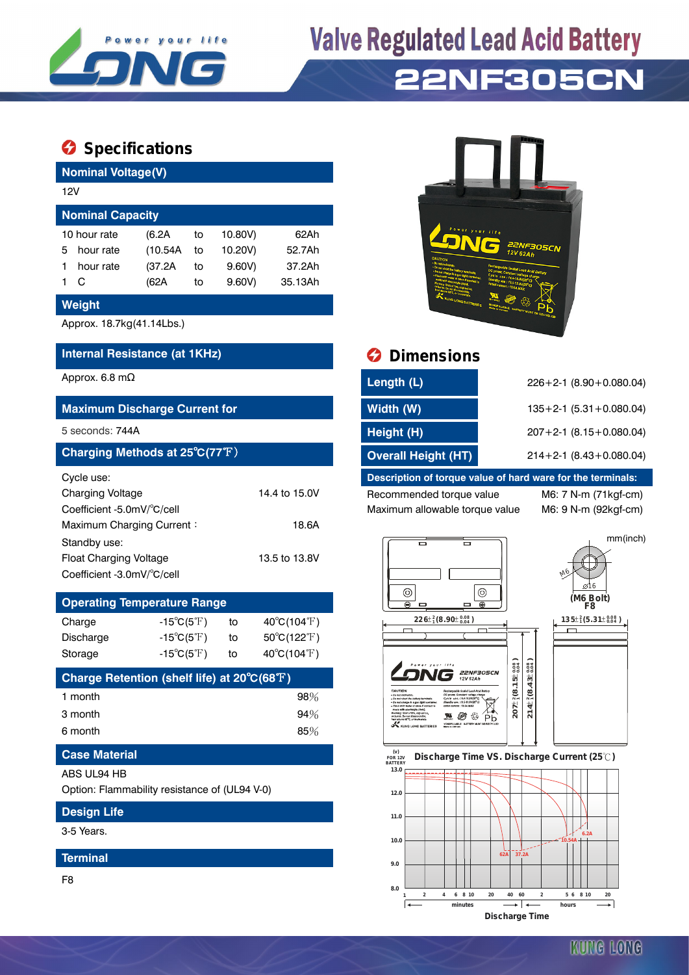

# **Valve Regulated Lead Acid Battery 22NF305CN**

### **Specifications**

| <b>Nominal Voltage(V)</b> |           |          |    |         |         |  |  |  |  |
|---------------------------|-----------|----------|----|---------|---------|--|--|--|--|
|                           | 12V       |          |    |         |         |  |  |  |  |
| <b>Nominal Capacity</b>   |           |          |    |         |         |  |  |  |  |
| 10 hour rate              |           | (6.2A)   | to | 10.80V) | 62 A h  |  |  |  |  |
| 5                         | hour rate | (10.54A) | to | 10.20V) | 52.7Ah  |  |  |  |  |
|                           | hour rate | (37.2A   | to | 9.60V   | 37.2Ah  |  |  |  |  |
|                           | C         | (62A     | to | 9.60V   | 35.13Ah |  |  |  |  |

#### **Weight**

Approx. 18.7kg(41.14Lbs.)

### **Internal Resistance (at 1KHz) Dimensions**

| <b>Maximum Discharge Current for</b>                                                                      |                        |
|-----------------------------------------------------------------------------------------------------------|------------------------|
| 5 seconds: 744A                                                                                           |                        |
| Charging Methods at 25°C(77°F)                                                                            |                        |
| Cycle use:<br>Charging Voltage<br>Coefficient -5.0mV/°C/cell<br>Maximum Charging Current:<br>Standby use: | 14.4 to 15.0V<br>18.6A |
| Float Charging Voltage<br>Coefficient -3.0mV/°C/cell                                                      | 13.5 to 13.8V          |

| <b>Operating Temperature Range</b> |                            |    |                                  |  |  |  |  |
|------------------------------------|----------------------------|----|----------------------------------|--|--|--|--|
| Charge                             | $-15^{\circ}C(5^{\circ}F)$ | to | $40^{\circ}$ C(104 $^{\circ}$ F) |  |  |  |  |
| Discharge                          | $-15^{\circ}C(5^{\circ}F)$ | to | $50^{\circ}C(122^{\circ}F)$      |  |  |  |  |
| Storage                            | $-15^{\circ}C(5^{\circ}F)$ | to | 40°C(104°F)                      |  |  |  |  |

| Charge Retention (shelf life) at 20°C(68°F) |        |
|---------------------------------------------|--------|
| 1 month                                     | $98\%$ |
| 3 month                                     | 94%    |
| 6 month                                     | 85%    |

#### **Case Material**

#### ABS UL94 HB

Option: Flammability resistance of (UL94 V-0)

#### **Design Life**

3-5 Years.

#### **Terminal**

F8



| Approx. 6.8 mΩ                       | Length (L)                 | $226+2-1$ (8.90 + 0.080.04)     |
|--------------------------------------|----------------------------|---------------------------------|
| <b>Maximum Discharge Current for</b> | Width (W)                  | $135+2-1$ (5.31 + 0.080.04)     |
| 5 seconds: 744A                      | Height (H)                 | $207 + 2 - 1$ (8.15 + 0.080.04) |
| Charging Methods at 25°C(77°F)       | <b>Overall Height (HT)</b> | $214+2-1$ (8.43+0.080.04)       |
|                                      |                            |                                 |

#### **Description of torque value of hard ware for the terminals:**

Recommended torque value M6: 7 N-m (71kgf-cm) Maximum allowable torque value M6: 9 N-m (92kgf-cm)